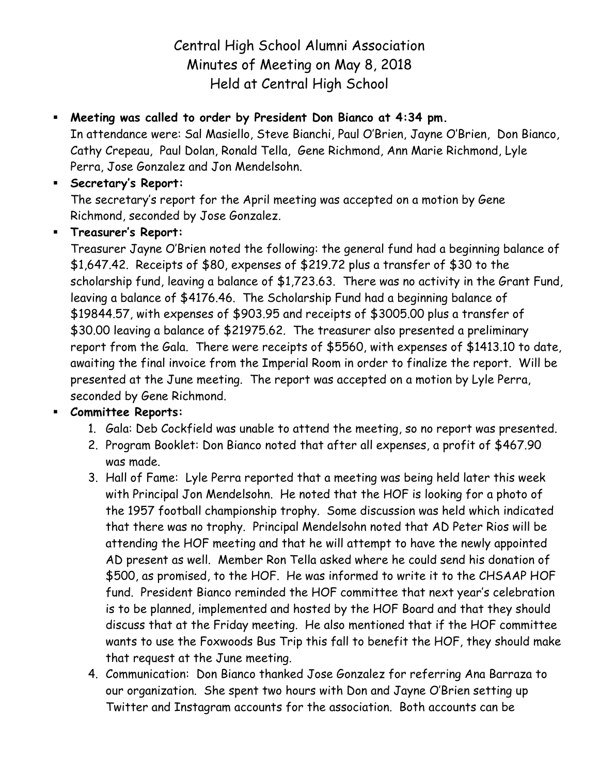Central High School Alumni Association Minutes of Meeting on May 8, 2018 Held at Central High School

# **Meeting was called to order by President Don Bianco at 4:34 pm.**

In attendance were: Sal Masiello, Steve Bianchi, Paul O'Brien, Jayne O'Brien, Don Bianco, Cathy Crepeau, Paul Dolan, Ronald Tella, Gene Richmond, Ann Marie Richmond, Lyle Perra, Jose Gonzalez and Jon Mendelsohn.

## **Secretary's Report:**

The secretary's report for the April meeting was accepted on a motion by Gene Richmond, seconded by Jose Gonzalez.

### **Treasurer's Report:**

Treasurer Jayne O'Brien noted the following: the general fund had a beginning balance of \$1,647.42. Receipts of \$80, expenses of \$219.72 plus a transfer of \$30 to the scholarship fund, leaving a balance of \$1,723.63. There was no activity in the Grant Fund, leaving a balance of \$4176.46. The Scholarship Fund had a beginning balance of \$19844.57, with expenses of \$903.95 and receipts of \$3005.00 plus a transfer of \$30.00 leaving a balance of \$21975.62. The treasurer also presented a preliminary report from the Gala. There were receipts of \$5560, with expenses of \$1413.10 to date, awaiting the final invoice from the Imperial Room in order to finalize the report. Will be presented at the June meeting. The report was accepted on a motion by Lyle Perra, seconded by Gene Richmond.

#### **Committee Reports:**

- 1. Gala: Deb Cockfield was unable to attend the meeting, so no report was presented.
- 2. Program Booklet: Don Bianco noted that after all expenses, a profit of \$467.90 was made.
- 3. Hall of Fame: Lyle Perra reported that a meeting was being held later this week with Principal Jon Mendelsohn. He noted that the HOF is looking for a photo of the 1957 football championship trophy. Some discussion was held which indicated that there was no trophy. Principal Mendelsohn noted that AD Peter Rios will be attending the HOF meeting and that he will attempt to have the newly appointed AD present as well. Member Ron Tella asked where he could send his donation of \$500, as promised, to the HOF. He was informed to write it to the CHSAAP HOF fund. President Bianco reminded the HOF committee that next year's celebration is to be planned, implemented and hosted by the HOF Board and that they should discuss that at the Friday meeting. He also mentioned that if the HOF committee wants to use the Foxwoods Bus Trip this fall to benefit the HOF, they should make that request at the June meeting.
- 4. Communication: Don Bianco thanked Jose Gonzalez for referring Ana Barraza to our organization. She spent two hours with Don and Jayne O'Brien setting up Twitter and Instagram accounts for the association. Both accounts can be